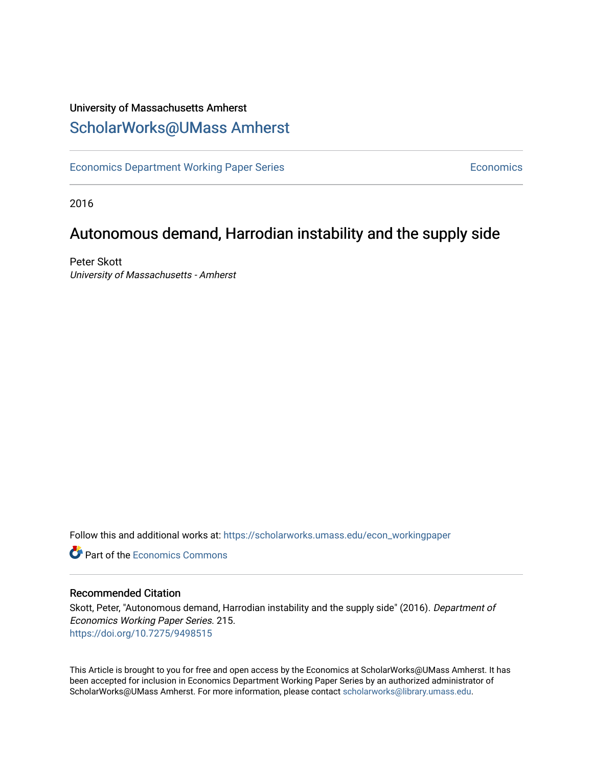# University of Massachusetts Amherst [ScholarWorks@UMass Amherst](https://scholarworks.umass.edu/)

[Economics Department Working Paper Series](https://scholarworks.umass.edu/econ_workingpaper) **Economics** Economics

2016

# Autonomous demand, Harrodian instability and the supply side

Peter Skott University of Massachusetts - Amherst

Follow this and additional works at: [https://scholarworks.umass.edu/econ\\_workingpaper](https://scholarworks.umass.edu/econ_workingpaper?utm_source=scholarworks.umass.edu%2Fecon_workingpaper%2F215&utm_medium=PDF&utm_campaign=PDFCoverPages) 

**C** Part of the [Economics Commons](http://network.bepress.com/hgg/discipline/340?utm_source=scholarworks.umass.edu%2Fecon_workingpaper%2F215&utm_medium=PDF&utm_campaign=PDFCoverPages)

#### Recommended Citation

Skott, Peter, "Autonomous demand, Harrodian instability and the supply side" (2016). Department of Economics Working Paper Series. 215. <https://doi.org/10.7275/9498515>

This Article is brought to you for free and open access by the Economics at ScholarWorks@UMass Amherst. It has been accepted for inclusion in Economics Department Working Paper Series by an authorized administrator of ScholarWorks@UMass Amherst. For more information, please contact [scholarworks@library.umass.edu.](mailto:scholarworks@library.umass.edu)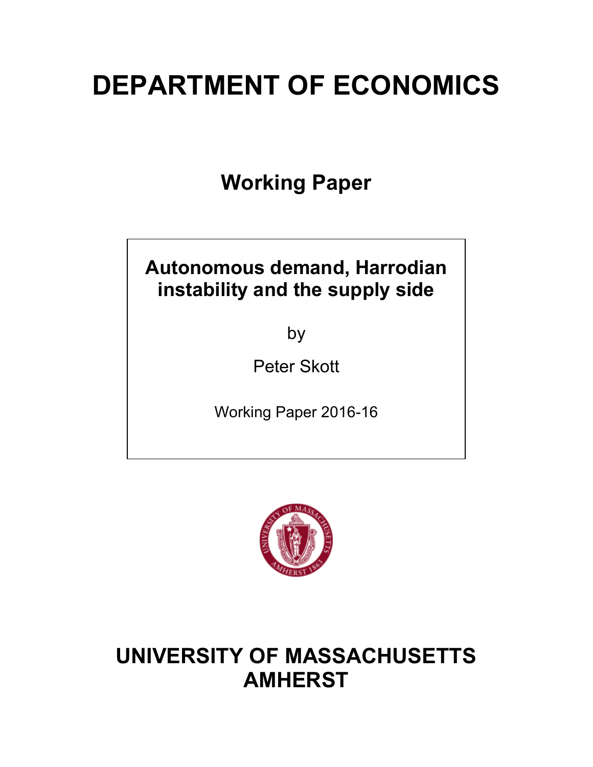# **DEPARTMENT OF ECONOMICS**

**Working Paper**

# **Autonomous demand, Harrodian instability and the supply side**

by

Peter Skott

Working Paper 2016-16



# **UNIVERSITY OF MASSACHUSETTS AMHERST**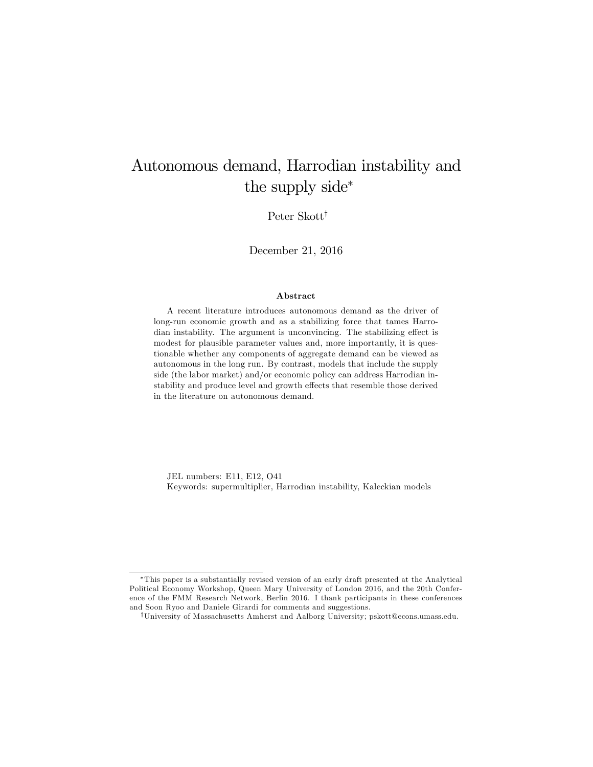# Autonomous demand, Harrodian instability and the supply side $*$

Peter Skott<sup>†</sup>

December 21, 2016

#### Abstract

A recent literature introduces autonomous demand as the driver of long-run economic growth and as a stabilizing force that tames Harrodian instability. The argument is unconvincing. The stabilizing effect is modest for plausible parameter values and, more importantly, it is questionable whether any components of aggregate demand can be viewed as autonomous in the long run. By contrast, models that include the supply side (the labor market) and/or economic policy can address Harrodian instability and produce level and growth effects that resemble those derived in the literature on autonomous demand.

JEL numbers: E11, E12, O41 Keywords: supermultiplier, Harrodian instability, Kaleckian models

<sup>!</sup>This paper is a substantially revised version of an early draft presented at the Analytical Political Economy Workshop, Queen Mary University of London 2016, and the 20th Conference of the FMM Research Network, Berlin 2016. I thank participants in these conferences and Soon Ryoo and Daniele Girardi for comments and suggestions.

<sup>&</sup>lt;sup>†</sup>University of Massachusetts Amherst and Aalborg University; pskott@econs.umass.edu.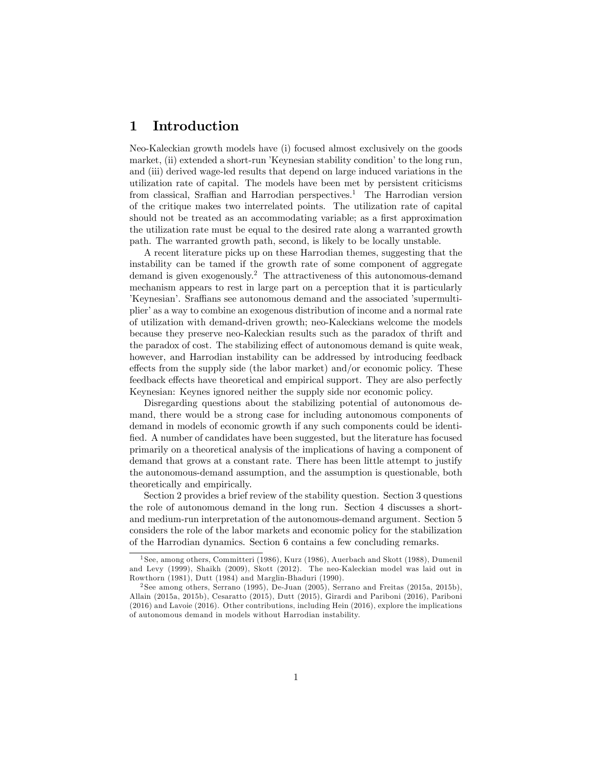#### 1 Introduction

Neo-Kaleckian growth models have (i) focused almost exclusively on the goods market, (ii) extended a short-run 'Keynesian stability condition' to the long run, and (iii) derived wage-led results that depend on large induced variations in the utilization rate of capital. The models have been met by persistent criticisms from classical, Sraffian and Harrodian perspectives.<sup>1</sup> The Harrodian version of the critique makes two interrelated points. The utilization rate of capital should not be treated as an accommodating variable; as a first approximation the utilization rate must be equal to the desired rate along a warranted growth path. The warranted growth path, second, is likely to be locally unstable.

A recent literature picks up on these Harrodian themes, suggesting that the instability can be tamed if the growth rate of some component of aggregate demand is given exogenously.2 The attractiveness of this autonomous-demand mechanism appears to rest in large part on a perception that it is particularly Keynesian'. Sraffians see autonomous demand and the associated 'supermultiplierí as a way to combine an exogenous distribution of income and a normal rate of utilization with demand-driven growth; neo-Kaleckians welcome the models because they preserve neo-Kaleckian results such as the paradox of thrift and the paradox of cost. The stabilizing effect of autonomous demand is quite weak, however, and Harrodian instability can be addressed by introducing feedback effects from the supply side (the labor market) and/or economic policy. These feedback effects have theoretical and empirical support. They are also perfectly Keynesian: Keynes ignored neither the supply side nor economic policy.

Disregarding questions about the stabilizing potential of autonomous demand, there would be a strong case for including autonomous components of demand in models of economic growth if any such components could be identi-Öed. A number of candidates have been suggested, but the literature has focused primarily on a theoretical analysis of the implications of having a component of demand that grows at a constant rate. There has been little attempt to justify the autonomous-demand assumption, and the assumption is questionable, both theoretically and empirically.

Section 2 provides a brief review of the stability question. Section 3 questions the role of autonomous demand in the long run. Section 4 discusses a shortand medium-run interpretation of the autonomous-demand argument. Section 5 considers the role of the labor markets and economic policy for the stabilization of the Harrodian dynamics. Section 6 contains a few concluding remarks.

<sup>&</sup>lt;sup>1</sup> See, among others, Committeri (1986), Kurz (1986), Auerbach and Skott (1988), Dumenil and Levy (1999), Shaikh (2009), Skott (2012). The neo-Kaleckian model was laid out in Rowthorn (1981), Dutt (1984) and Marglin-Bhaduri (1990).

<sup>2</sup> See among others, Serrano (1995), De-Juan (2005), Serrano and Freitas (2015a, 2015b), Allain (2015a, 2015b), Cesaratto (2015), Dutt (2015), Girardi and Pariboni (2016), Pariboni (2016) and Lavoie (2016). Other contributions, including Hein (2016), explore the implications of autonomous demand in models without Harrodian instability.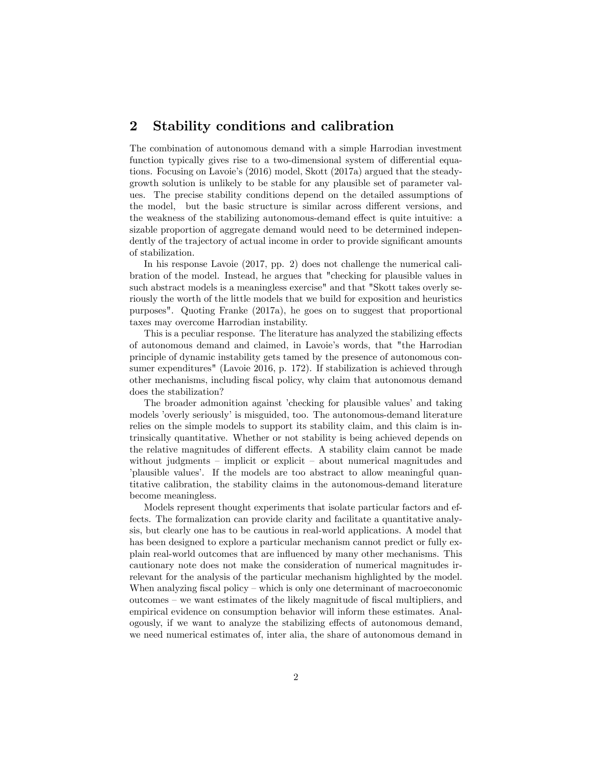## 2 Stability conditions and calibration

The combination of autonomous demand with a simple Harrodian investment function typically gives rise to a two-dimensional system of differential equations. Focusing on Lavoie's  $(2016)$  model, Skott  $(2017a)$  argued that the steadygrowth solution is unlikely to be stable for any plausible set of parameter values. The precise stability conditions depend on the detailed assumptions of the model, but the basic structure is similar across different versions, and the weakness of the stabilizing autonomous-demand effect is quite intuitive: a sizable proportion of aggregate demand would need to be determined independently of the trajectory of actual income in order to provide significant amounts of stabilization.

In his response Lavoie (2017, pp. 2) does not challenge the numerical calibration of the model. Instead, he argues that "checking for plausible values in such abstract models is a meaningless exercise" and that "Skott takes overly seriously the worth of the little models that we build for exposition and heuristics purposes". Quoting Franke (2017a), he goes on to suggest that proportional taxes may overcome Harrodian instability.

This is a peculiar response. The literature has analyzed the stabilizing effects of autonomous demand and claimed, in Lavoieís words, that "the Harrodian principle of dynamic instability gets tamed by the presence of autonomous consumer expenditures" (Lavoie 2016, p. 172). If stabilization is achieved through other mechanisms, including Öscal policy, why claim that autonomous demand does the stabilization?

The broader admonition against 'checking for plausible values' and taking models 'overly seriously' is misguided, too. The autonomous-demand literature relies on the simple models to support its stability claim, and this claim is intrinsically quantitative. Whether or not stability is being achieved depends on the relative magnitudes of different effects. A stability claim cannot be made without judgments  $\overline{\phantom{a}}$  implicit or explicit  $\overline{\phantom{a}}$  about numerical magnitudes and  $\alpha$ <sup>'</sup>plausible values'. If the models are too abstract to allow meaningful quantitative calibration, the stability claims in the autonomous-demand literature become meaningless.

Models represent thought experiments that isolate particular factors and effects. The formalization can provide clarity and facilitate a quantitative analysis, but clearly one has to be cautious in real-world applications. A model that has been designed to explore a particular mechanism cannot predict or fully explain real-world outcomes that are ináuenced by many other mechanisms. This cautionary note does not make the consideration of numerical magnitudes irrelevant for the analysis of the particular mechanism highlighted by the model. When analyzing fiscal policy  $-\text{which}$  is only one determinant of macroeconomic  $outcomes - we want estimates of the likely magnitude of fiscal multipliers, and$ empirical evidence on consumption behavior will inform these estimates. Analogously, if we want to analyze the stabilizing effects of autonomous demand, we need numerical estimates of, inter alia, the share of autonomous demand in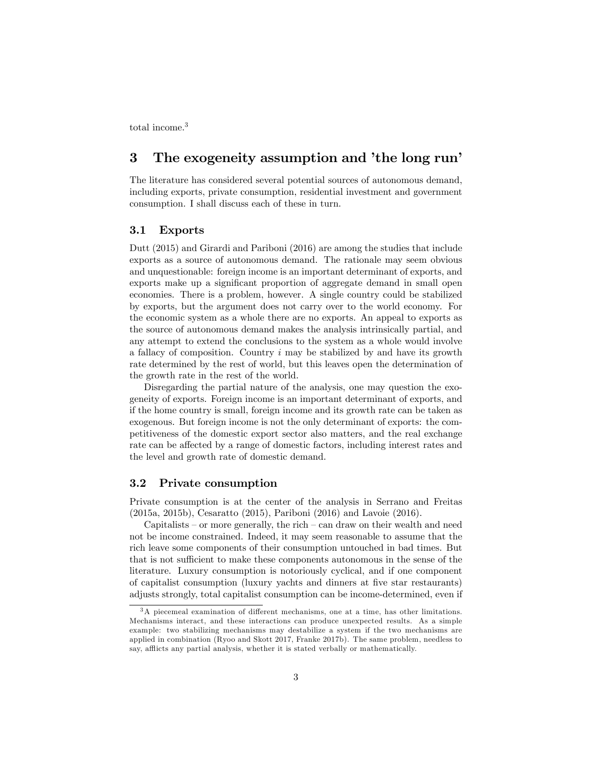total income.<sup>3</sup>

## 3 The exogeneity assumption and 'the long run'

The literature has considered several potential sources of autonomous demand, including exports, private consumption, residential investment and government consumption. I shall discuss each of these in turn.

#### 3.1 Exports

Dutt (2015) and Girardi and Pariboni (2016) are among the studies that include exports as a source of autonomous demand. The rationale may seem obvious and unquestionable: foreign income is an important determinant of exports, and exports make up a significant proportion of aggregate demand in small open economies. There is a problem, however. A single country could be stabilized by exports, but the argument does not carry over to the world economy. For the economic system as a whole there are no exports. An appeal to exports as the source of autonomous demand makes the analysis intrinsically partial, and any attempt to extend the conclusions to the system as a whole would involve a fallacy of composition. Country  $i$  may be stabilized by and have its growth rate determined by the rest of world, but this leaves open the determination of the growth rate in the rest of the world.

Disregarding the partial nature of the analysis, one may question the exogeneity of exports. Foreign income is an important determinant of exports, and if the home country is small, foreign income and its growth rate can be taken as exogenous. But foreign income is not the only determinant of exports: the competitiveness of the domestic export sector also matters, and the real exchange rate can be affected by a range of domestic factors, including interest rates and the level and growth rate of domestic demand.

#### 3.2 Private consumption

Private consumption is at the center of the analysis in Serrano and Freitas (2015a, 2015b), Cesaratto (2015), Pariboni (2016) and Lavoie (2016).

Capitalists  $-$  or more generally, the rich  $-$  can draw on their wealth and need not be income constrained. Indeed, it may seem reasonable to assume that the rich leave some components of their consumption untouched in bad times. But that is not sufficient to make these components autonomous in the sense of the literature. Luxury consumption is notoriously cyclical, and if one component of capitalist consumption (luxury yachts and dinners at Öve star restaurants) adjusts strongly, total capitalist consumption can be income-determined, even if

 $3A$  piecemeal examination of different mechanisms, one at a time, has other limitations. Mechanisms interact, and these interactions can produce unexpected results. As a simple example: two stabilizing mechanisms may destabilize a system if the two mechanisms are applied in combination (Ryoo and Skott 2017, Franke 2017b). The same problem, needless to say, afflicts any partial analysis, whether it is stated verbally or mathematically.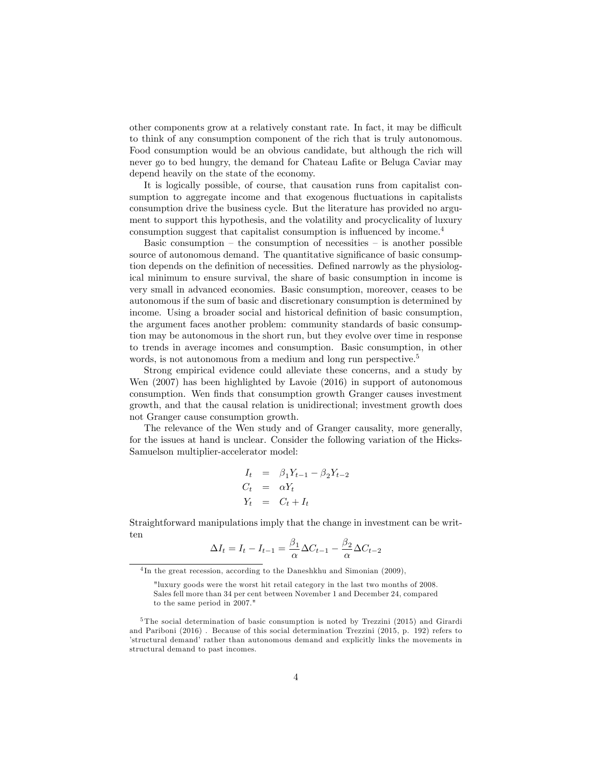other components grow at a relatively constant rate. In fact, it may be difficult to think of any consumption component of the rich that is truly autonomous. Food consumption would be an obvious candidate, but although the rich will never go to bed hungry, the demand for Chateau Lafite or Beluga Caviar may depend heavily on the state of the economy.

It is logically possible, of course, that causation runs from capitalist consumption to aggregate income and that exogenous fluctuations in capitalists consumption drive the business cycle. But the literature has provided no argument to support this hypothesis, and the volatility and procyclicality of luxury consumption suggest that capitalist consumption is influenced by income.<sup>4</sup>

Basic consumption  $-$  the consumption of necessities  $-$  is another possible source of autonomous demand. The quantitative significance of basic consumption depends on the definition of necessities. Defined narrowly as the physiological minimum to ensure survival, the share of basic consumption in income is very small in advanced economies. Basic consumption, moreover, ceases to be autonomous if the sum of basic and discretionary consumption is determined by income. Using a broader social and historical definition of basic consumption, the argument faces another problem: community standards of basic consumption may be autonomous in the short run, but they evolve over time in response to trends in average incomes and consumption. Basic consumption, in other words, is not autonomous from a medium and long run perspective.<sup>5</sup>

Strong empirical evidence could alleviate these concerns, and a study by Wen (2007) has been highlighted by Lavoie (2016) in support of autonomous consumption. Wen Önds that consumption growth Granger causes investment growth, and that the causal relation is unidirectional; investment growth does not Granger cause consumption growth.

The relevance of the Wen study and of Granger causality, more generally, for the issues at hand is unclear. Consider the following variation of the Hicks-Samuelson multiplier-accelerator model:

$$
I_t = \beta_1 Y_{t-1} - \beta_2 Y_{t-2}
$$
  
\n
$$
C_t = \alpha Y_t
$$
  
\n
$$
Y_t = C_t + I_t
$$

Straightforward manipulations imply that the change in investment can be written

$$
\Delta I_t = I_t - I_{t-1} = \frac{\beta_1}{\alpha} \Delta C_{t-1} - \frac{\beta_2}{\alpha} \Delta C_{t-2}
$$

 $^{4}$ In the great recession, according to the Daneshkhu and Simonian (2009),

<sup>&</sup>quot;luxury goods were the worst hit retail category in the last two months of 2008. Sales fell more than 34 per cent between November 1 and December 24, compared to the same period in 2007."

<sup>5</sup> The social determination of basic consumption is noted by Trezzini (2015) and Girardi and Pariboni (2016) . Because of this social determination Trezzini (2015, p. 192) refers to Integrative integration and rather than autonomous demand and explicitly links the movements in structural demand to past incomes.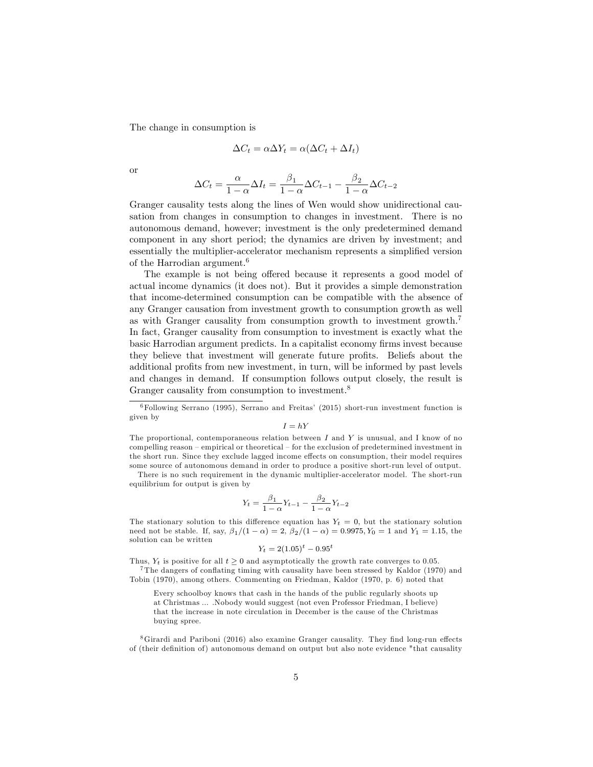The change in consumption is

$$
\Delta C_t = \alpha \Delta Y_t = \alpha (\Delta C_t + \Delta I_t)
$$

or

$$
\Delta C_t = \frac{\alpha}{1 - \alpha} \Delta I_t = \frac{\beta_1}{1 - \alpha} \Delta C_{t-1} - \frac{\beta_2}{1 - \alpha} \Delta C_{t-2}
$$

Granger causality tests along the lines of Wen would show unidirectional causation from changes in consumption to changes in investment. There is no autonomous demand, however; investment is the only predetermined demand component in any short period; the dynamics are driven by investment; and essentially the multiplier-accelerator mechanism represents a simplified version of the Harrodian argument.6

The example is not being offered because it represents a good model of actual income dynamics (it does not). But it provides a simple demonstration that income-determined consumption can be compatible with the absence of any Granger causation from investment growth to consumption growth as well as with Granger causality from consumption growth to investment growth.7 In fact, Granger causality from consumption to investment is exactly what the basic Harrodian argument predicts. In a capitalist economy Örms invest because they believe that investment will generate future profits. Beliefs about the additional profits from new investment, in turn, will be informed by past levels and changes in demand. If consumption follows output closely, the result is Granger causality from consumption to investment.<sup>8</sup>

 $6$ Following Serrano (1995), Serrano and Freitas' (2015) short-run investment function is given by

 $I = hY$ 

The proportional, contemporaneous relation between  $I$  and  $Y$  is unusual, and I know of no compelling reason – empirical or theoretical – for the exclusion of predetermined investment in the short run. Since they exclude lagged income effects on consumption, their model requires some source of autonomous demand in order to produce a positive short-run level of output.

There is no such requirement in the dynamic multiplier-accelerator model. The short-run equilibrium for output is given by

$$
Y_{t} = \frac{\beta_{1}}{1 - \alpha} Y_{t-1} - \frac{\beta_{2}}{1 - \alpha} Y_{t-2}
$$

The stationary solution to this difference equation has  $Y_t = 0$ , but the stationary solution need not be stable. If, say,  $\beta_1/(1 - \alpha) = 2$ ,  $\beta_2/(1 - \alpha) = 0.9975$ ,  $Y_0 = 1$  and  $Y_1 = 1.15$ , the solution can be written

$$
Y_t = 2(1.05)^t - 0.95^t
$$

Thus,  $Y_t$  is positive for all  $t \geq 0$  and asymptotically the growth rate converges to 0.05.<br><sup>7</sup> The dangers of conflating timing with causality have been stressed by Kaldor (1970) and Tobin (1970), among others. Commenting on Friedman, Kaldor (1970, p. 6) noted that

Every schoolboy knows that cash in the hands of the public regularly shoots up at Christmas ... .Nobody would suggest (not even Professor Friedman, I believe) that the increase in note circulation in December is the cause of the Christmas buying spree.

 $8$ Girardi and Pariboni (2016) also examine Granger causality. They find long-run effects of (their definition of) autonomous demand on output but also note evidence "that causality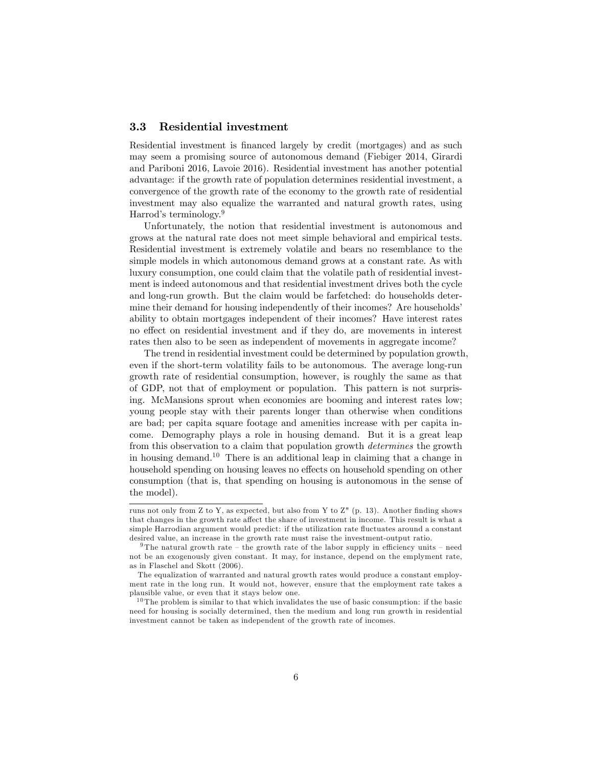#### 3.3 Residential investment

Residential investment is financed largely by credit (mortgages) and as such may seem a promising source of autonomous demand (Fiebiger 2014, Girardi and Pariboni 2016, Lavoie 2016). Residential investment has another potential advantage: if the growth rate of population determines residential investment, a convergence of the growth rate of the economy to the growth rate of residential investment may also equalize the warranted and natural growth rates, using Harrod's terminology. $9$ 

Unfortunately, the notion that residential investment is autonomous and grows at the natural rate does not meet simple behavioral and empirical tests. Residential investment is extremely volatile and bears no resemblance to the simple models in which autonomous demand grows at a constant rate. As with luxury consumption, one could claim that the volatile path of residential investment is indeed autonomous and that residential investment drives both the cycle and long-run growth. But the claim would be farfetched: do households determine their demand for housing independently of their incomes? Are households ability to obtain mortgages independent of their incomes? Have interest rates no effect on residential investment and if they do, are movements in interest rates then also to be seen as independent of movements in aggregate income?

The trend in residential investment could be determined by population growth, even if the short-term volatility fails to be autonomous. The average long-run growth rate of residential consumption, however, is roughly the same as that of GDP, not that of employment or population. This pattern is not surprising. McMansions sprout when economies are booming and interest rates low; young people stay with their parents longer than otherwise when conditions are bad; per capita square footage and amenities increase with per capita income. Demography plays a role in housing demand. But it is a great leap from this observation to a claim that population growth determines the growth in housing demand.10 There is an additional leap in claiming that a change in household spending on housing leaves no effects on household spending on other consumption (that is, that spending on housing is autonomous in the sense of the model).

runs not only from Z to Y, as expected, but also from Y to Z" (p. 13). Another finding shows that changes in the growth rate affect the share of investment in income. This result is what a simple Harrodian argument would predict: if the utilization rate fluctuates around a constant desired value, an increase in the growth rate must raise the investment-output ratio.

<sup>&</sup>lt;sup>9</sup> The natural growth rate – the growth rate of the labor supply in efficiency units – need not be an exogenously given constant. It may, for instance, depend on the emplyment rate, as in Flaschel and Skott (2006).

The equalization of warranted and natural growth rates would produce a constant employment rate in the long run. It would not, however, ensure that the employment rate takes a plausible value, or even that it stays below one.

 $10$  The problem is similar to that which invalidates the use of basic consumption: if the basic need for housing is socially determined, then the medium and long run growth in residential investment cannot be taken as independent of the growth rate of incomes.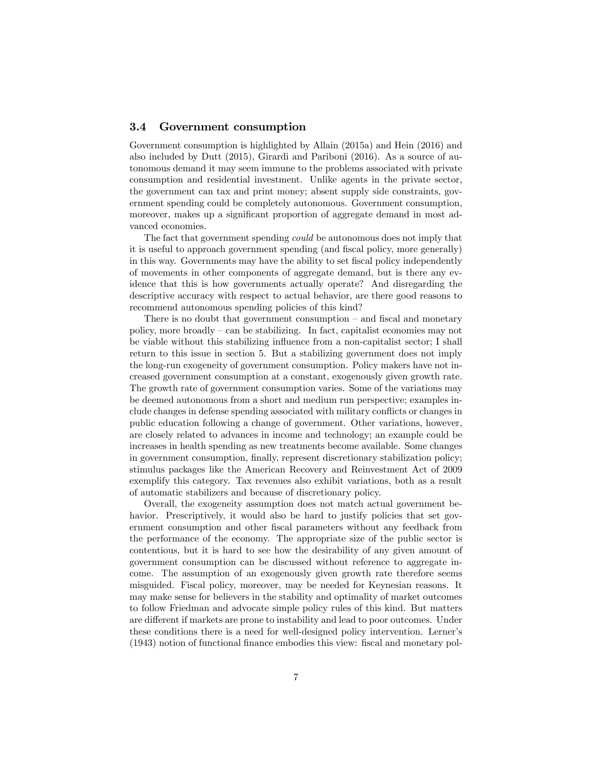#### 3.4 Government consumption

Government consumption is highlighted by Allain (2015a) and Hein (2016) and also included by Dutt (2015), Girardi and Pariboni (2016). As a source of autonomous demand it may seem immune to the problems associated with private consumption and residential investment. Unlike agents in the private sector, the government can tax and print money; absent supply side constraints, government spending could be completely autonomous. Government consumption, moreover, makes up a significant proportion of aggregate demand in most advanced economies.

The fact that government spending could be autonomous does not imply that it is useful to approach government spending (and fiscal policy, more generally) in this way. Governments may have the ability to set fiscal policy independently of movements in other components of aggregate demand, but is there any evidence that this is how governments actually operate? And disregarding the descriptive accuracy with respect to actual behavior, are there good reasons to recommend autonomous spending policies of this kind?

There is no doubt that government consumption  $-$  and fiscal and monetary policy, more broadly  $-$  can be stabilizing. In fact, capitalist economies may not be viable without this stabilizing ináuence from a non-capitalist sector; I shall return to this issue in section 5. But a stabilizing government does not imply the long-run exogeneity of government consumption. Policy makers have not increased government consumption at a constant, exogenously given growth rate. The growth rate of government consumption varies. Some of the variations may be deemed autonomous from a short and medium run perspective; examples include changes in defense spending associated with military conflicts or changes in public education following a change of government. Other variations, however, are closely related to advances in income and technology; an example could be increases in health spending as new treatments become available. Some changes in government consumption, finally, represent discretionary stabilization policy; stimulus packages like the American Recovery and Reinvestment Act of 2009 exemplify this category. Tax revenues also exhibit variations, both as a result of automatic stabilizers and because of discretionary policy.

Overall, the exogeneity assumption does not match actual government behavior. Prescriptively, it would also be hard to justify policies that set government consumption and other Öscal parameters without any feedback from the performance of the economy. The appropriate size of the public sector is contentious, but it is hard to see how the desirability of any given amount of government consumption can be discussed without reference to aggregate income. The assumption of an exogenously given growth rate therefore seems misguided. Fiscal policy, moreover, may be needed for Keynesian reasons. It may make sense for believers in the stability and optimality of market outcomes to follow Friedman and advocate simple policy rules of this kind. But matters are different if markets are prone to instability and lead to poor outcomes. Under these conditions there is a need for well-designed policy intervention. Lernerís (1943) notion of functional finance embodies this view: fiscal and monetary pol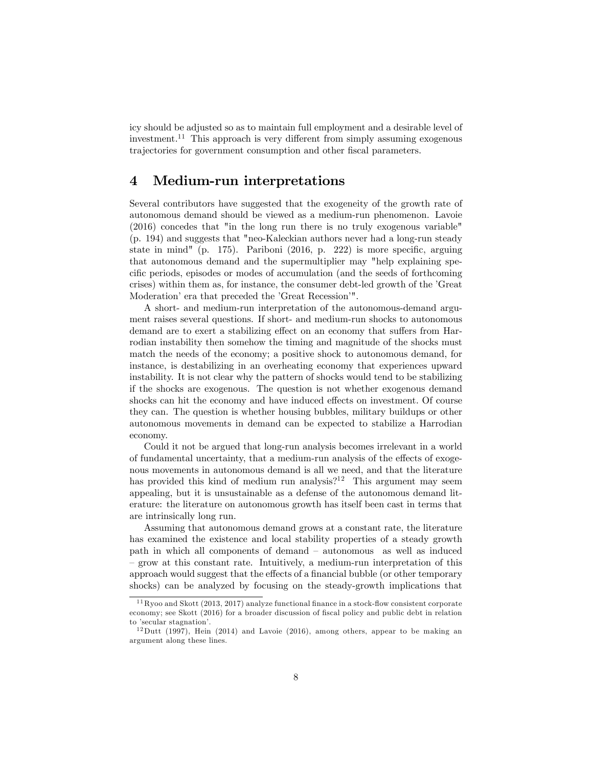icy should be adjusted so as to maintain full employment and a desirable level of investment.<sup>11</sup> This approach is very different from simply assuming exogenous trajectories for government consumption and other fiscal parameters.

#### 4 Medium-run interpretations

Several contributors have suggested that the exogeneity of the growth rate of autonomous demand should be viewed as a medium-run phenomenon. Lavoie (2016) concedes that "in the long run there is no truly exogenous variable" (p. 194) and suggests that "neo-Kaleckian authors never had a long-run steady state in mind" (p. 175). Pariboni (2016, p. 222) is more specific, arguing that autonomous demand and the supermultiplier may "help explaining specific periods, episodes or modes of accumulation (and the seeds of forthcoming crises) within them as, for instance, the consumer debt-led growth of the *'Great* Moderation' era that preceded the 'Great Recession'".

A short- and medium-run interpretation of the autonomous-demand argument raises several questions. If short- and medium-run shocks to autonomous demand are to exert a stabilizing effect on an economy that suffers from Harrodian instability then somehow the timing and magnitude of the shocks must match the needs of the economy; a positive shock to autonomous demand, for instance, is destabilizing in an overheating economy that experiences upward instability. It is not clear why the pattern of shocks would tend to be stabilizing if the shocks are exogenous. The question is not whether exogenous demand shocks can hit the economy and have induced effects on investment. Of course they can. The question is whether housing bubbles, military buildups or other autonomous movements in demand can be expected to stabilize a Harrodian economy.

Could it not be argued that long-run analysis becomes irrelevant in a world of fundamental uncertainty, that a medium-run analysis of the effects of exogenous movements in autonomous demand is all we need, and that the literature has provided this kind of medium run analysis?<sup>12</sup> This argument may seem appealing, but it is unsustainable as a defense of the autonomous demand literature: the literature on autonomous growth has itself been cast in terms that are intrinsically long run.

Assuming that autonomous demand grows at a constant rate, the literature has examined the existence and local stability properties of a steady growth path in which all components of demand  $-$  autonomous as well as induced ñ grow at this constant rate. Intuitively, a medium-run interpretation of this approach would suggest that the effects of a financial bubble (or other temporary shocks) can be analyzed by focusing on the steady-growth implications that

 $11$  Ryoo and Skott (2013, 2017) analyze functional finance in a stock-flow consistent corporate economy; see Skott (2016) for a broader discussion of fiscal policy and public debt in relation to 'secular stagnation'.

 $12$  Dutt (1997), Hein (2014) and Lavoie (2016), among others, appear to be making an argument along these lines.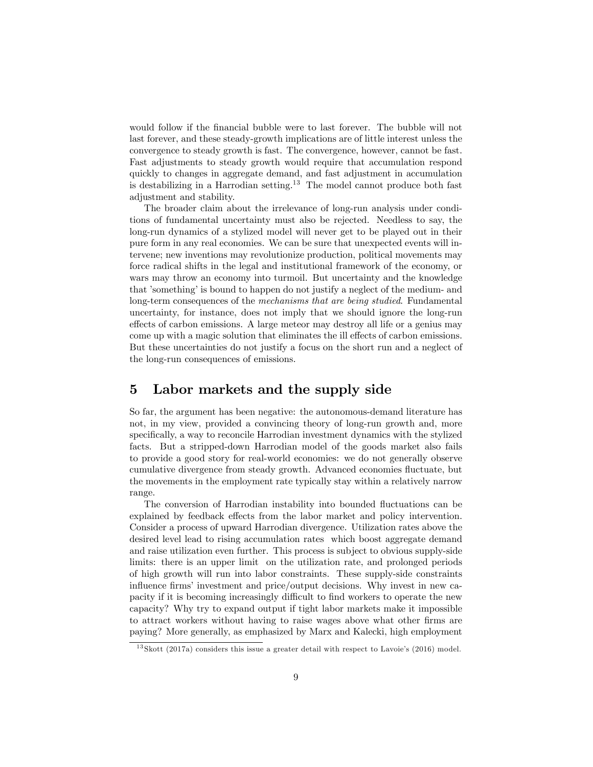would follow if the financial bubble were to last forever. The bubble will not last forever, and these steady-growth implications are of little interest unless the convergence to steady growth is fast. The convergence, however, cannot be fast. Fast adjustments to steady growth would require that accumulation respond quickly to changes in aggregate demand, and fast adjustment in accumulation is destabilizing in a Harrodian setting.<sup>13</sup> The model cannot produce both fast adjustment and stability.

The broader claim about the irrelevance of long-run analysis under conditions of fundamental uncertainty must also be rejected. Needless to say, the long-run dynamics of a stylized model will never get to be played out in their pure form in any real economies. We can be sure that unexpected events will intervene; new inventions may revolutionize production, political movements may force radical shifts in the legal and institutional framework of the economy, or wars may throw an economy into turmoil. But uncertainty and the knowledge that 'something' is bound to happen do not justify a neglect of the medium- and long-term consequences of the mechanisms that are being studied. Fundamental uncertainty, for instance, does not imply that we should ignore the long-run effects of carbon emissions. A large meteor may destroy all life or a genius may come up with a magic solution that eliminates the ill effects of carbon emissions. But these uncertainties do not justify a focus on the short run and a neglect of the long-run consequences of emissions.

#### 5 Labor markets and the supply side

So far, the argument has been negative: the autonomous-demand literature has not, in my view, provided a convincing theory of long-run growth and, more specifically, a way to reconcile Harrodian investment dynamics with the stylized facts. But a stripped-down Harrodian model of the goods market also fails to provide a good story for real-world economies: we do not generally observe cumulative divergence from steady growth. Advanced economies fluctuate, but the movements in the employment rate typically stay within a relatively narrow range.

The conversion of Harrodian instability into bounded fluctuations can be explained by feedback effects from the labor market and policy intervention. Consider a process of upward Harrodian divergence. Utilization rates above the desired level lead to rising accumulation rates which boost aggregate demand and raise utilization even further. This process is subject to obvious supply-side limits: there is an upper limit on the utilization rate, and prolonged periods of high growth will run into labor constraints. These supply-side constraints influence firms' investment and price/output decisions. Why invest in new capacity if it is becoming increasingly difficult to find workers to operate the new capacity? Why try to expand output if tight labor markets make it impossible to attract workers without having to raise wages above what other Örms are paying? More generally, as emphasized by Marx and Kalecki, high employment

 $13$  Skott (2017a) considers this issue a greater detail with respect to Lavoie's (2016) model.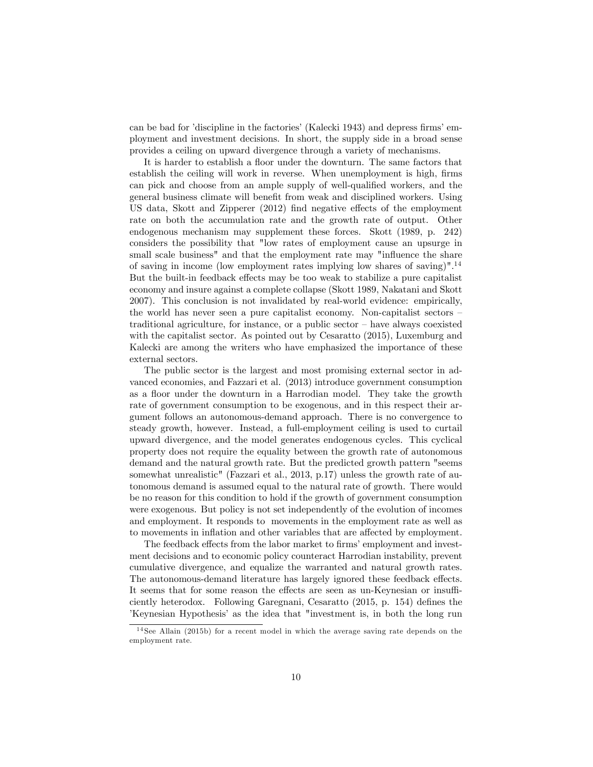can be bad for 'discipline in the factories' (Kalecki 1943) and depress firms' employment and investment decisions. In short, the supply side in a broad sense provides a ceiling on upward divergence through a variety of mechanisms.

It is harder to establish a floor under the downturn. The same factors that establish the ceiling will work in reverse. When unemployment is high, firms can pick and choose from an ample supply of well-qualified workers, and the general business climate will benefit from weak and disciplined workers. Using US data, Skott and Zipperer  $(2012)$  find negative effects of the employment rate on both the accumulation rate and the growth rate of output. Other endogenous mechanism may supplement these forces. Skott (1989, p. 242) considers the possibility that "low rates of employment cause an upsurge in small scale business" and that the employment rate may "influence the share of saving in income (low employment rates implying low shares of saving)".14 But the built-in feedback effects may be too weak to stabilize a pure capitalist economy and insure against a complete collapse (Skott 1989, Nakatani and Skott 2007). This conclusion is not invalidated by real-world evidence: empirically, the world has never seen a pure capitalist economy. Non-capitalist sectors  $$ traditional agriculture, for instance, or a public sector  $-\text{ have always coexisted}$ with the capitalist sector. As pointed out by Cesaratto (2015), Luxemburg and Kalecki are among the writers who have emphasized the importance of these external sectors.

The public sector is the largest and most promising external sector in advanced economies, and Fazzari et al. (2013) introduce government consumption as a floor under the downturn in a Harrodian model. They take the growth rate of government consumption to be exogenous, and in this respect their argument follows an autonomous-demand approach. There is no convergence to steady growth, however. Instead, a full-employment ceiling is used to curtail upward divergence, and the model generates endogenous cycles. This cyclical property does not require the equality between the growth rate of autonomous demand and the natural growth rate. But the predicted growth pattern "seems somewhat unrealistic" (Fazzari et al., 2013, p.17) unless the growth rate of autonomous demand is assumed equal to the natural rate of growth. There would be no reason for this condition to hold if the growth of government consumption were exogenous. But policy is not set independently of the evolution of incomes and employment. It responds to movements in the employment rate as well as to movements in inflation and other variables that are affected by employment.

The feedback effects from the labor market to firms' employment and investment decisions and to economic policy counteract Harrodian instability, prevent cumulative divergence, and equalize the warranted and natural growth rates. The autonomous-demand literature has largely ignored these feedback effects. It seems that for some reason the effects are seen as un-Keynesian or insufficiently heterodox. Following Garegnani, Cesaratto (2015, p. 154) defines the Keynesian Hypothesis' as the idea that "investment is, in both the long run

<sup>1 4</sup> See Allain (2015b) for a recent model in which the average saving rate depends on the employment rate.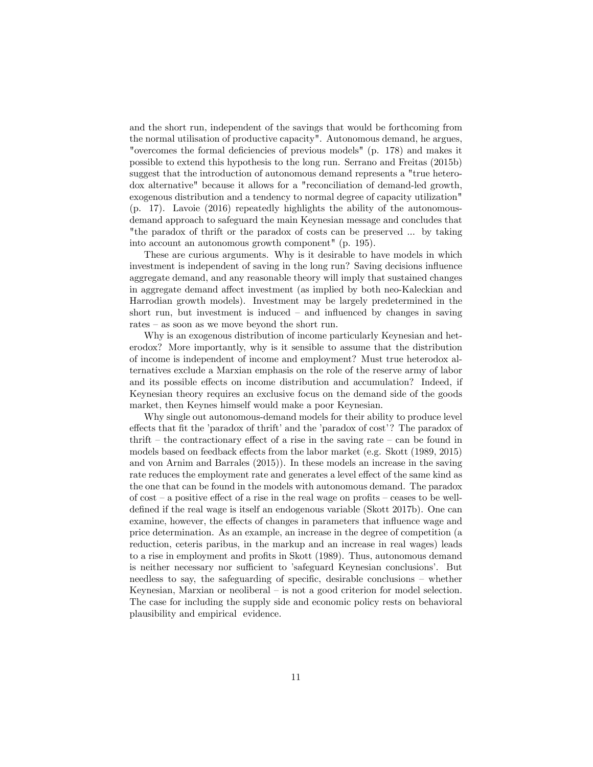and the short run, independent of the savings that would be forthcoming from the normal utilisation of productive capacity". Autonomous demand, he argues, "overcomes the formal deficiencies of previous models" (p. 178) and makes it possible to extend this hypothesis to the long run. Serrano and Freitas (2015b) suggest that the introduction of autonomous demand represents a "true heterodox alternative" because it allows for a "reconciliation of demand-led growth, exogenous distribution and a tendency to normal degree of capacity utilization" (p. 17). Lavoie (2016) repeatedly highlights the ability of the autonomousdemand approach to safeguard the main Keynesian message and concludes that "the paradox of thrift or the paradox of costs can be preserved ... by taking into account an autonomous growth component" (p. 195).

These are curious arguments. Why is it desirable to have models in which investment is independent of saving in the long run? Saving decisions influence aggregate demand, and any reasonable theory will imply that sustained changes in aggregate demand affect investment (as implied by both neo-Kaleckian and Harrodian growth models). Investment may be largely predetermined in the short run, but investment is induced  $\sim$  and influenced by changes in saving rates  $-$  as soon as we move beyond the short run.

Why is an exogenous distribution of income particularly Keynesian and heterodox? More importantly, why is it sensible to assume that the distribution of income is independent of income and employment? Must true heterodox alternatives exclude a Marxian emphasis on the role of the reserve army of labor and its possible effects on income distribution and accumulation? Indeed, if Keynesian theory requires an exclusive focus on the demand side of the goods market, then Keynes himself would make a poor Keynesian.

Why single out autonomous-demand models for their ability to produce level effects that fit the 'paradox of thrift' and the 'paradox of cost'? The paradox of thrift – the contractionary effect of a rise in the saving rate – can be found in models based on feedback effects from the labor market (e.g. Skott  $(1989, 2015)$ ) and von Arnim and Barrales (2015)). In these models an increase in the saving rate reduces the employment rate and generates a level effect of the same kind as the one that can be found in the models with autonomous demand. The paradox of cost  $-$  a positive effect of a rise in the real wage on profits  $-$  ceases to be welldefined if the real wage is itself an endogenous variable (Skott 2017b). One can examine, however, the effects of changes in parameters that influence wage and price determination. As an example, an increase in the degree of competition (a reduction, ceteris paribus, in the markup and an increase in real wages) leads to a rise in employment and profits in Skott (1989). Thus, autonomous demand is neither necessary nor sufficient to 'safeguard Keynesian conclusions'. But needless to say, the safeguarding of specific, desirable conclusions  $\overline{\phantom{a}}$  whether Keynesian, Marxian or neoliberal  $-$  is not a good criterion for model selection. The case for including the supply side and economic policy rests on behavioral plausibility and empirical evidence.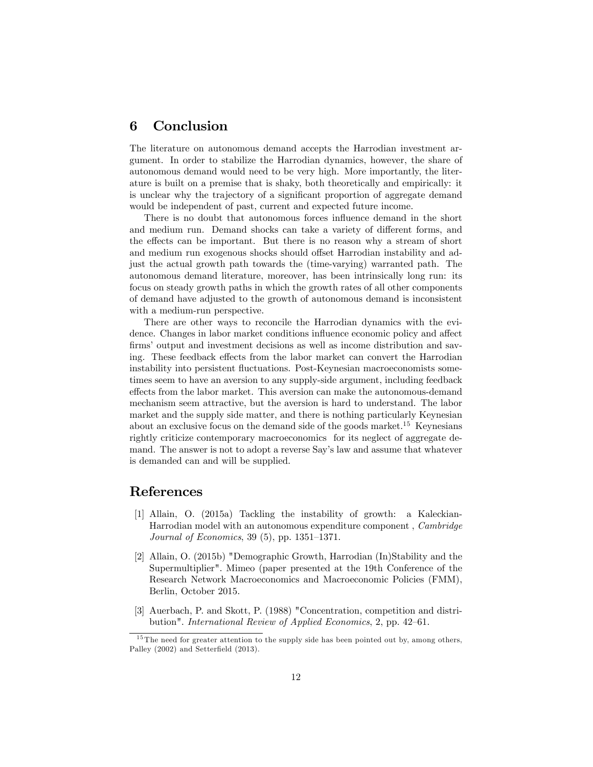## 6 Conclusion

The literature on autonomous demand accepts the Harrodian investment argument. In order to stabilize the Harrodian dynamics, however, the share of autonomous demand would need to be very high. More importantly, the literature is built on a premise that is shaky, both theoretically and empirically: it is unclear why the trajectory of a significant proportion of aggregate demand would be independent of past, current and expected future income.

There is no doubt that autonomous forces influence demand in the short and medium run. Demand shocks can take a variety of different forms, and the effects can be important. But there is no reason why a stream of short and medium run exogenous shocks should offset Harrodian instability and adjust the actual growth path towards the (time-varying) warranted path. The autonomous demand literature, moreover, has been intrinsically long run: its focus on steady growth paths in which the growth rates of all other components of demand have adjusted to the growth of autonomous demand is inconsistent with a medium-run perspective.

There are other ways to reconcile the Harrodian dynamics with the evidence. Changes in labor market conditions influence economic policy and affect firms' output and investment decisions as well as income distribution and saving. These feedback effects from the labor market can convert the Harrodian instability into persistent fluctuations. Post-Keynesian macroeconomists sometimes seem to have an aversion to any supply-side argument, including feedback effects from the labor market. This aversion can make the autonomous-demand mechanism seem attractive, but the aversion is hard to understand. The labor market and the supply side matter, and there is nothing particularly Keynesian about an exclusive focus on the demand side of the goods market.<sup>15</sup> Keynesians rightly criticize contemporary macroeconomics for its neglect of aggregate demand. The answer is not to adopt a reverse Sayís law and assume that whatever is demanded can and will be supplied.

#### References

- [1] Allain, O. (2015a) Tackling the instability of growth: a Kaleckian-Harrodian model with an autonomous expenditure component , Cambridge Journal of Economics, 39  $(5)$ , pp. 1351–1371.
- [2] Allain, O. (2015b) "Demographic Growth, Harrodian (In)Stability and the Supermultiplier". Mimeo (paper presented at the 19th Conference of the Research Network Macroeconomics and Macroeconomic Policies (FMM), Berlin, October 2015.
- [3] Auerbach, P. and Skott, P. (1988) "Concentration, competition and distribution". International Review of Applied Economics, 2, pp. 42–61.

 $15$  The need for greater attention to the supply side has been pointed out by, among others, Palley (2002) and Setterfield (2013).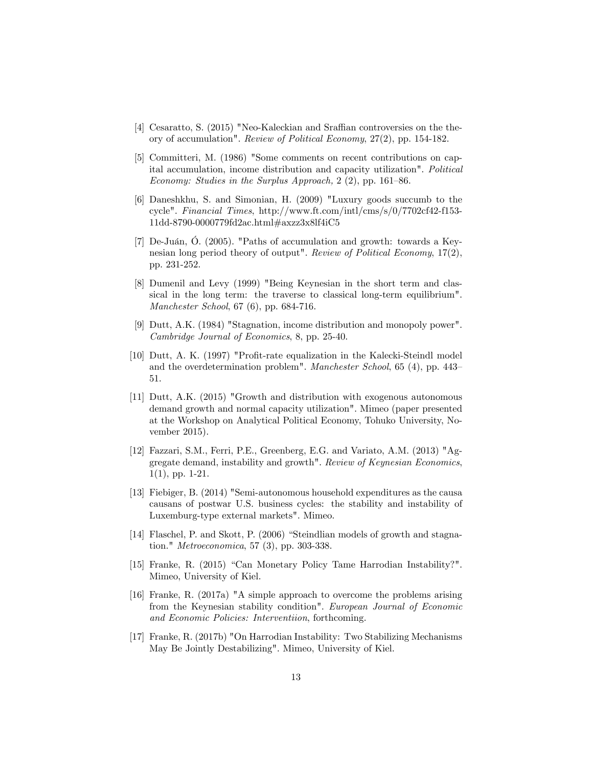- [4] Cesaratto, S.  $(2015)$  "Neo-Kaleckian and Sraffian controversies on the theory of accumulation". Review of Political Economy, 27(2), pp. 154-182.
- [5] Committeri, M. (1986) "Some comments on recent contributions on capital accumulation, income distribution and capacity utilization". Political Economy: Studies in the Surplus Approach,  $2(2)$ , pp. 161–86.
- [6] Daneshkhu, S. and Simonian, H. (2009) "Luxury goods succumb to the cycle". Financial Times, http://www.ft.com/intl/cms/s/0/7702cf42-f153- 11dd-8790-0000779fd2ac.html#axzz3x8lf4iC5
- [7] De-Juán,  $\dot{\text{O}}$ . (2005). "Paths of accumulation and growth: towards a Keynesian long period theory of output". Review of Political Economy, 17(2), pp. 231-252.
- [8] Dumenil and Levy (1999) "Being Keynesian in the short term and classical in the long term: the traverse to classical long-term equilibrium". Manchester School, 67 (6), pp. 684-716.
- [9] Dutt, A.K. (1984) "Stagnation, income distribution and monopoly power". Cambridge Journal of Economics, 8, pp. 25-40.
- [10] Dutt, A. K. (1997) "Profit-rate equalization in the Kalecki-Steindl model and the overdetermination problem". Manchester School, 65  $(4)$ , pp. 443-51.
- [11] Dutt, A.K. (2015) "Growth and distribution with exogenous autonomous demand growth and normal capacity utilization". Mimeo (paper presented at the Workshop on Analytical Political Economy, Tohuko University, November 2015).
- [12] Fazzari, S.M., Ferri, P.E., Greenberg, E.G. and Variato, A.M. (2013) "Aggregate demand, instability and growth". Review of Keynesian Economics, 1(1), pp. 1-21.
- [13] Fiebiger, B. (2014) "Semi-autonomous household expenditures as the causa causans of postwar U.S. business cycles: the stability and instability of Luxemburg-type external markets". Mimeo.
- [14] Flaschel, P. and Skott, P.  $(2006)$  "Steindlian models of growth and stagnation." Metroeconomica, 57 (3), pp. 303-338.
- [15] Franke, R. (2015) "Can Monetary Policy Tame Harrodian Instability?". Mimeo, University of Kiel.
- [16] Franke, R. (2017a) "A simple approach to overcome the problems arising from the Keynesian stability condition". European Journal of Economic and Economic Policies: Interventiion, forthcoming.
- [17] Franke, R. (2017b) "On Harrodian Instability: Two Stabilizing Mechanisms May Be Jointly Destabilizing". Mimeo, University of Kiel.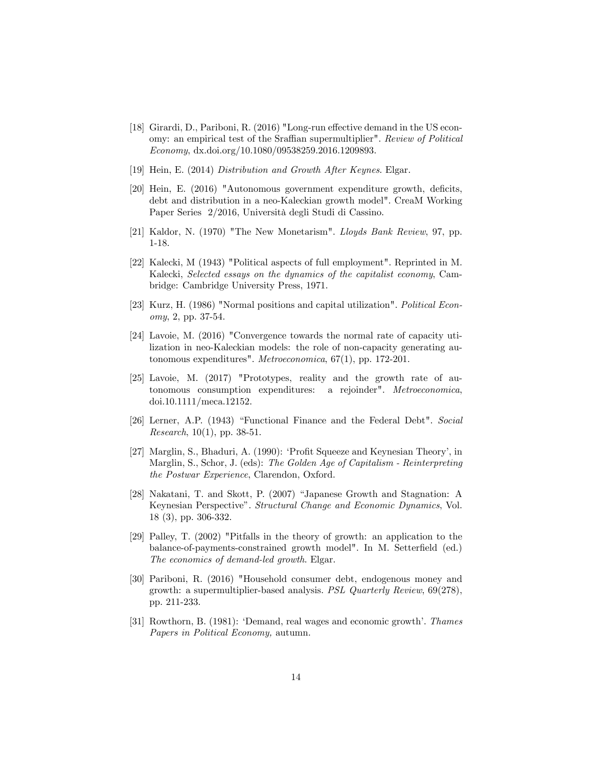- [18] Girardi, D., Pariboni, R.  $(2016)$  "Long-run effective demand in the US economy: an empirical test of the Sraffian supermultiplier". Review of Political Economy, dx.doi.org/10.1080/09538259.2016.1209893.
- [19] Hein, E. (2014) Distribution and Growth After Keynes. Elgar.
- [20] Hein, E. (2016) "Autonomous government expenditure growth, deficits, debt and distribution in a neo-Kaleckian growth model". CreaM Working Paper Series 2/2016, Università degli Studi di Cassino.
- [21] Kaldor, N. (1970) "The New Monetarism". Lloyds Bank Review, 97, pp. 1-18.
- [22] Kalecki, M (1943) "Political aspects of full employment". Reprinted in M. Kalecki, Selected essays on the dynamics of the capitalist economy, Cambridge: Cambridge University Press, 1971.
- [23] Kurz, H. (1986) "Normal positions and capital utilization". Political Economy, 2, pp. 37-54.
- [24] Lavoie, M. (2016) "Convergence towards the normal rate of capacity utilization in neo-Kaleckian models: the role of non-capacity generating autonomous expenditures". Metroeconomica, 67(1), pp. 172-201.
- [25] Lavoie, M. (2017) "Prototypes, reality and the growth rate of autonomous consumption expenditures: a rejoinder". Metroeconomica, doi.10.1111/meca.12152.
- [26] Lerner, A.P. (1943) "Functional Finance and the Federal Debt". Social *Research*,  $10(1)$ , pp. 38-51.
- [27] Marglin, S., Bhaduri, A. (1990): 'Profit Squeeze and Keynesian Theory', in Marglin, S., Schor, J. (eds): The Golden Age of Capitalism - Reinterpreting the Postwar Experience, Clarendon, Oxford.
- [28] Nakatani, T. and Skott, P.  $(2007)$  "Japanese Growth and Stagnation: A Keynesian Perspective". Structural Change and Economic Dynamics, Vol. 18 (3), pp. 306-332.
- [29] Palley, T. (2002) "Pitfalls in the theory of growth: an application to the balance-of-payments-constrained growth model". In M. Setterfield (ed.) The economics of demand-led growth. Elgar.
- [30] Pariboni, R. (2016) "Household consumer debt, endogenous money and growth: a supermultiplier-based analysis. PSL Quarterly Review, 69(278), pp. 211-233.
- [31] Rowthorn, B. (1981): 'Demand, real wages and economic growth'. Thames Papers in Political Economy, autumn.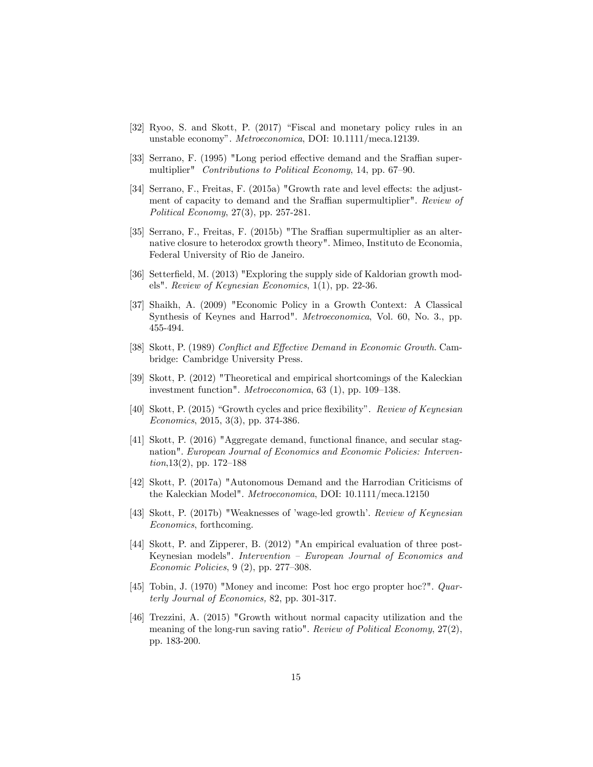- [32] Ryoo, S. and Skott, P. (2017) "Fiscal and monetary policy rules in an unstable economy". Metroeconomica, DOI: 10.1111/meca.12139.
- [33] Serrano, F. (1995) "Long period effective demand and the Sraffian supermultiplier" Contributions to Political Economy, 14, pp. 67-90.
- [34] Serrano, F., Freitas, F. (2015a) "Growth rate and level effects: the adjustment of capacity to demand and the Sraffian supermultiplier". Review of Political Economy, 27(3), pp. 257-281.
- [35] Serrano, F., Freitas, F. (2015b) "The Sraffian supermultiplier as an alternative closure to heterodox growth theory". Mimeo, Instituto de Economia, Federal University of Rio de Janeiro.
- [36] Setterfield, M. (2013) "Exploring the supply side of Kaldorian growth models". Review of Keynesian Economics, 1(1), pp. 22-36.
- [37] Shaikh, A. (2009) "Economic Policy in a Growth Context: A Classical Synthesis of Keynes and Harrod". Metroeconomica, Vol. 60, No. 3., pp. 455-494.
- [38] Skott, P. (1989) Conflict and Effective Demand in Economic Growth. Cambridge: Cambridge University Press.
- [39] Skott, P. (2012) "Theoretical and empirical shortcomings of the Kaleckian investment function". *Metroeconomica*,  $63$  (1), pp. 109–138.
- [40] Skott, P. (2015) "Growth cycles and price flexibility". Review of Keynesian Economics, 2015, 3(3), pp. 374-386.
- [41] Skott, P. (2016) "Aggregate demand, functional Önance, and secular stagnation". European Journal of Economics and Economic Policies: Interven $tion, 13(2), pp. 172-188$
- [42] Skott, P. (2017a) "Autonomous Demand and the Harrodian Criticisms of the Kaleckian Model". Metroeconomica, DOI: 10.1111/meca.12150
- [43] Skott, P. (2017b) "Weaknesses of 'wage-led growth'. Review of Keynesian Economics, forthcoming.
- [44] Skott, P. and Zipperer, B. (2012) "An empirical evaluation of three post-Keynesian models". Intervention  $\overline{\phantom{a}}$  European Journal of Economics and Economic Policies,  $9(2)$ , pp. 277–308.
- [45] Tobin, J. (1970) "Money and income: Post hoc ergo propter hoc?". *Quar*terly Journal of Economics, 82, pp. 301-317.
- [46] Trezzini, A. (2015) "Growth without normal capacity utilization and the meaning of the long-run saving ratio". Review of Political Economy, 27(2), pp. 183-200.